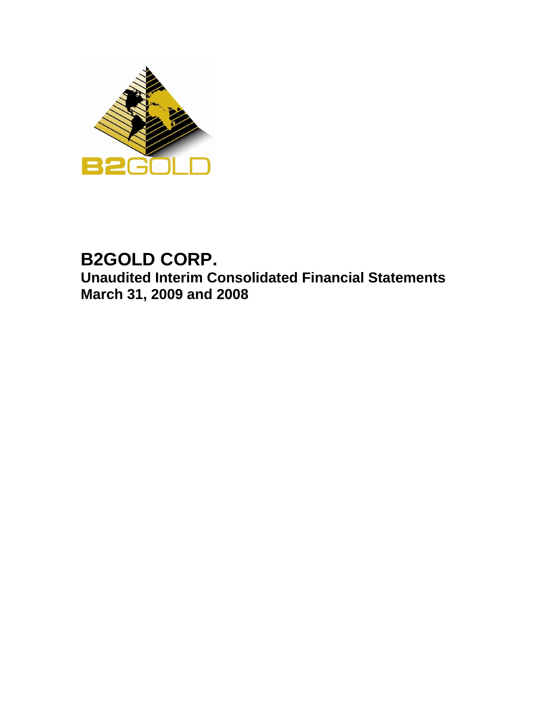

# **B2GOLD CORP. Unaudited Interim Consolidated Financial Statements March 31, 2009 and 2008**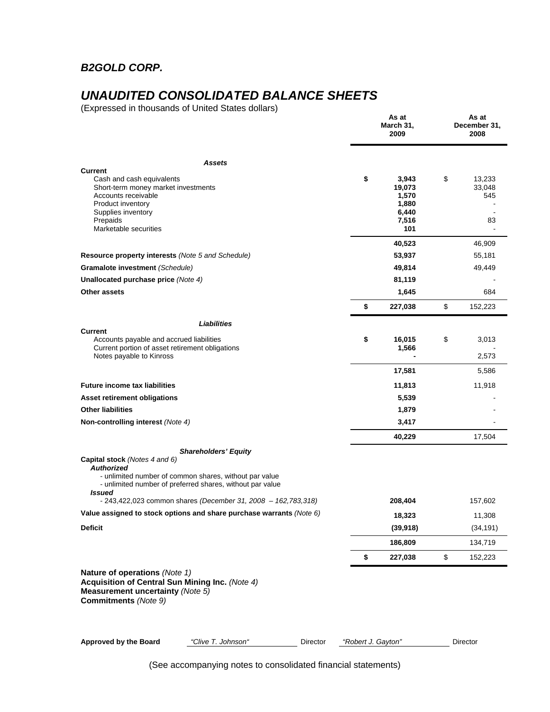## *B2GOLD CORP.*

## *UNAUDITED CONSOLIDATED BALANCE SHEETS*

(Expressed in thousands of United States dollars)

|                                                                                                                                                                                                          |                    | As at<br>March 31,<br>2009                                           | As at<br>December 31,<br>2008                 |
|----------------------------------------------------------------------------------------------------------------------------------------------------------------------------------------------------------|--------------------|----------------------------------------------------------------------|-----------------------------------------------|
| <b>Assets</b>                                                                                                                                                                                            |                    |                                                                      |                                               |
| <b>Current</b><br>Cash and cash equivalents<br>Short-term money market investments<br>Accounts receivable<br>Product inventory<br>Supplies inventory<br>Prepaids<br>Marketable securities                | \$                 | 3,943<br>19,073<br>1,570<br>1,880<br>6,440<br>7,516<br>101<br>40,523 | \$<br>13,233<br>33,048<br>545<br>83<br>46,909 |
| Resource property interests (Note 5 and Schedule)                                                                                                                                                        |                    | 53,937                                                               | 55,181                                        |
| Gramalote investment (Schedule)                                                                                                                                                                          |                    | 49,814                                                               | 49,449                                        |
| Unallocated purchase price (Note 4)                                                                                                                                                                      |                    | 81,119                                                               |                                               |
| Other assets                                                                                                                                                                                             |                    | 1,645                                                                | 684                                           |
|                                                                                                                                                                                                          | \$                 | 227,038                                                              | \$<br>152,223                                 |
| Liabilities                                                                                                                                                                                              |                    |                                                                      |                                               |
| <b>Current</b><br>Accounts payable and accrued liabilities<br>Current portion of asset retirement obligations<br>Notes payable to Kinross                                                                | \$                 | 16,015<br>1,566                                                      | \$<br>3,013<br>2,573                          |
|                                                                                                                                                                                                          |                    | 17,581                                                               | 5,586                                         |
| <b>Future income tax liabilities</b>                                                                                                                                                                     |                    | 11,813                                                               | 11,918                                        |
| Asset retirement obligations                                                                                                                                                                             |                    | 5,539                                                                |                                               |
| <b>Other liabilities</b>                                                                                                                                                                                 |                    | 1,879                                                                |                                               |
| Non-controlling interest (Note 4)                                                                                                                                                                        |                    | 3,417                                                                |                                               |
|                                                                                                                                                                                                          |                    | 40,229                                                               | 17,504                                        |
| <b>Shareholders' Equity</b><br>Capital stock (Notes 4 and 6)<br><b>Authorized</b><br>- unlimited number of common shares, without par value<br>- unlimited number of preferred shares, without par value |                    |                                                                      |                                               |
| <b>Issued</b><br>$-243,422,023$ common shares (December 31, 2008 - 162,783,318)                                                                                                                          |                    | 208,404                                                              | 157,602                                       |
| Value assigned to stock options and share purchase warrants (Note 6)                                                                                                                                     |                    | 18,323                                                               | 11,308                                        |
| <b>Deficit</b>                                                                                                                                                                                           |                    | (39, 918)                                                            | (34, 191)                                     |
|                                                                                                                                                                                                          |                    | 186,809                                                              | 134,719                                       |
|                                                                                                                                                                                                          | \$                 | 227,038                                                              | \$<br>152,223                                 |
| Nature of operations (Note 1)<br>Acquisition of Central Sun Mining Inc. (Note 4)<br>Measurement uncertainty (Note 5)<br><b>Commitments</b> (Note 9)                                                      |                    |                                                                      |                                               |
| <b>Approved by the Board</b><br>"Clive T. Johnson"<br>Director                                                                                                                                           | "Robert J. Gayton" |                                                                      | Director                                      |

(See accompanying notes to consolidated financial statements)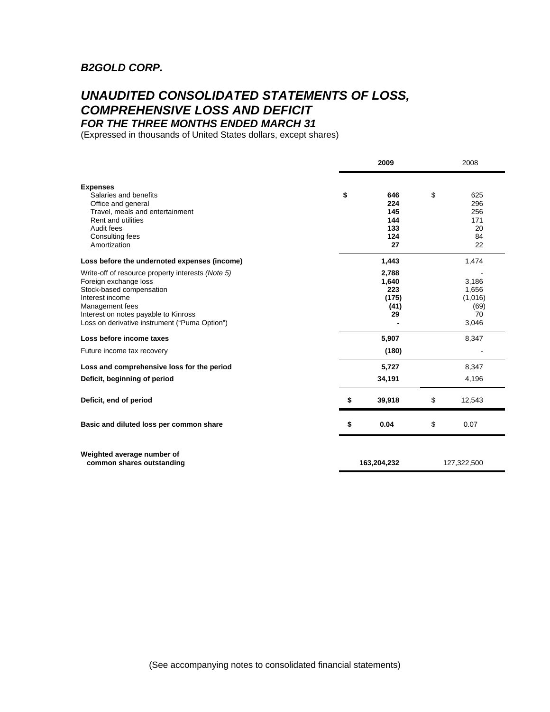## *B2GOLD CORP.*

## *UNAUDITED CONSOLIDATED STATEMENTS OF LOSS, COMPREHENSIVE LOSS AND DEFICIT FOR THE THREE MONTHS ENDED MARCH 31*

(Expressed in thousands of United States dollars, except shares)

|                                                                                                                                                                                                                                       | 2009 |                                              |    | 2008                                             |  |
|---------------------------------------------------------------------------------------------------------------------------------------------------------------------------------------------------------------------------------------|------|----------------------------------------------|----|--------------------------------------------------|--|
| <b>Expenses</b><br>Salaries and benefits<br>Office and general<br>Travel, meals and entertainment<br><b>Rent and utilities</b><br>Audit fees<br>Consulting fees<br>Amortization                                                       | \$   | 646<br>224<br>145<br>144<br>133<br>124<br>27 | \$ | 625<br>296<br>256<br>171<br>20<br>84<br>22       |  |
| Loss before the undernoted expenses (income)                                                                                                                                                                                          |      | 1,443                                        |    | 1,474                                            |  |
| Write-off of resource property interests (Note 5)<br>Foreign exchange loss<br>Stock-based compensation<br>Interest income<br>Management fees<br>Interest on notes payable to Kinross<br>Loss on derivative instrument ("Puma Option") |      | 2,788<br>1,640<br>223<br>(175)<br>(41)<br>29 |    | 3,186<br>1,656<br>(1,016)<br>(69)<br>70<br>3,046 |  |
| Loss before income taxes                                                                                                                                                                                                              |      | 5,907                                        |    | 8,347                                            |  |
| Future income tax recovery                                                                                                                                                                                                            |      | (180)                                        |    |                                                  |  |
| Loss and comprehensive loss for the period                                                                                                                                                                                            |      | 5,727                                        |    | 8,347                                            |  |
| Deficit, beginning of period                                                                                                                                                                                                          |      | 34,191                                       |    | 4,196                                            |  |
| Deficit, end of period                                                                                                                                                                                                                | \$   | 39,918                                       | \$ | 12,543                                           |  |
| Basic and diluted loss per common share                                                                                                                                                                                               | \$   | 0.04                                         | \$ | 0.07                                             |  |
| Weighted average number of<br>common shares outstanding                                                                                                                                                                               |      | 163,204,232                                  |    | 127,322,500                                      |  |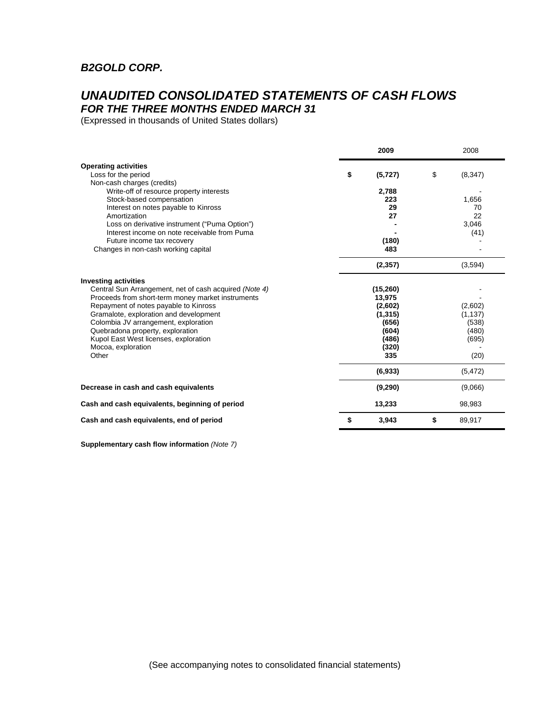## *B2GOLD CORP.*

## *UNAUDITED CONSOLIDATED STATEMENTS OF CASH FLOWS FOR THE THREE MONTHS ENDED MARCH 31*

(Expressed in thousands of United States dollars)

|                                                                                 | 2009                | 2008 |                     |  |
|---------------------------------------------------------------------------------|---------------------|------|---------------------|--|
| <b>Operating activities</b>                                                     |                     |      |                     |  |
| Loss for the period                                                             | \$<br>(5,727)       | \$   | (8, 347)            |  |
| Non-cash charges (credits)                                                      |                     |      |                     |  |
| Write-off of resource property interests                                        | 2,788               |      |                     |  |
| Stock-based compensation                                                        | 223                 |      | 1,656               |  |
| Interest on notes payable to Kinross                                            | 29<br>27            |      | 70                  |  |
| Amortization<br>Loss on derivative instrument ("Puma Option")                   |                     |      | 22<br>3,046         |  |
| Interest income on note receivable from Puma                                    |                     |      | (41)                |  |
| Future income tax recovery                                                      | (180)               |      |                     |  |
| Changes in non-cash working capital                                             | 483                 |      |                     |  |
|                                                                                 | (2, 357)            |      | (3,594)             |  |
| <b>Investing activities</b>                                                     |                     |      |                     |  |
| Central Sun Arrangement, net of cash acquired (Note 4)                          | (15,260)            |      |                     |  |
| Proceeds from short-term money market instruments                               | 13,975              |      |                     |  |
| Repayment of notes payable to Kinross<br>Gramalote, exploration and development | (2,602)<br>(1, 315) |      | (2,602)<br>(1, 137) |  |
| Colombia JV arrangement, exploration                                            | (656)               |      | (538)               |  |
| Quebradona property, exploration                                                | (604)               |      | (480)               |  |
| Kupol East West licenses, exploration                                           | (486)               |      | (695)               |  |
| Mocoa, exploration                                                              | (320)               |      |                     |  |
| Other                                                                           | 335                 |      | (20)                |  |
|                                                                                 | (6,933)             |      | (5, 472)            |  |
| Decrease in cash and cash equivalents                                           | (9,290)             |      | (9,066)             |  |
| Cash and cash equivalents, beginning of period                                  | 13,233              |      | 98,983              |  |
| Cash and cash equivalents, end of period                                        | \$<br>3,943         | \$   | 89,917              |  |

**Supplementary cash flow information** *(Note 7)*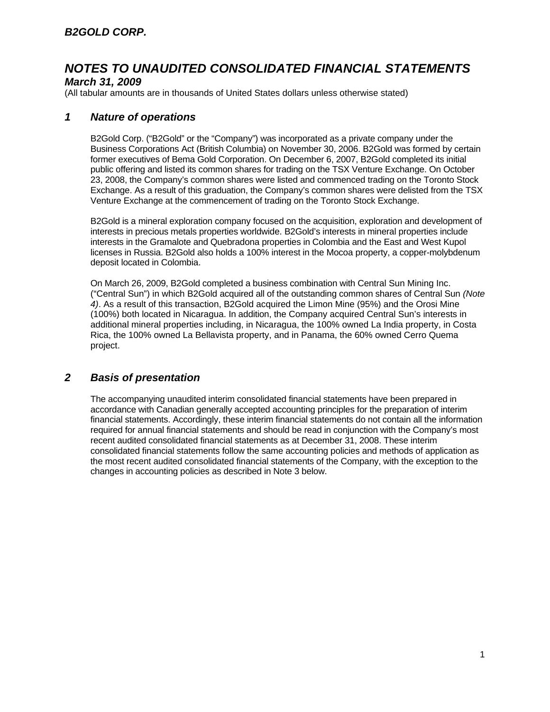## *March 31, 2009*

(All tabular amounts are in thousands of United States dollars unless otherwise stated)

## *1 Nature of operations*

B2Gold Corp. ("B2Gold" or the "Company") was incorporated as a private company under the Business Corporations Act (British Columbia) on November 30, 2006. B2Gold was formed by certain former executives of Bema Gold Corporation. On December 6, 2007, B2Gold completed its initial public offering and listed its common shares for trading on the TSX Venture Exchange. On October 23, 2008, the Company's common shares were listed and commenced trading on the Toronto Stock Exchange. As a result of this graduation, the Company's common shares were delisted from the TSX Venture Exchange at the commencement of trading on the Toronto Stock Exchange.

B2Gold is a mineral exploration company focused on the acquisition, exploration and development of interests in precious metals properties worldwide. B2Gold's interests in mineral properties include interests in the Gramalote and Quebradona properties in Colombia and the East and West Kupol licenses in Russia. B2Gold also holds a 100% interest in the Mocoa property, a copper-molybdenum deposit located in Colombia.

On March 26, 2009, B2Gold completed a business combination with Central Sun Mining Inc. ("Central Sun") in which B2Gold acquired all of the outstanding common shares of Central Sun *(Note 4)*. As a result of this transaction, B2Gold acquired the Limon Mine (95%) and the Orosi Mine (100%) both located in Nicaragua. In addition, the Company acquired Central Sun's interests in additional mineral properties including, in Nicaragua, the 100% owned La India property, in Costa Rica, the 100% owned La Bellavista property, and in Panama, the 60% owned Cerro Quema project.

## *2 Basis of presentation*

The accompanying unaudited interim consolidated financial statements have been prepared in accordance with Canadian generally accepted accounting principles for the preparation of interim financial statements. Accordingly, these interim financial statements do not contain all the information required for annual financial statements and should be read in conjunction with the Company's most recent audited consolidated financial statements as at December 31, 2008. These interim consolidated financial statements follow the same accounting policies and methods of application as the most recent audited consolidated financial statements of the Company, with the exception to the changes in accounting policies as described in Note 3 below.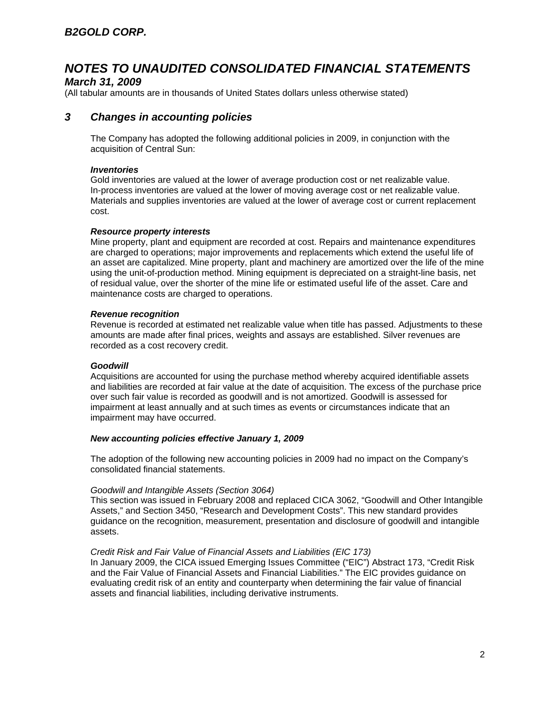#### *March 31, 2009*

(All tabular amounts are in thousands of United States dollars unless otherwise stated)

## *3 Changes in accounting policies*

The Company has adopted the following additional policies in 2009, in conjunction with the acquisition of Central Sun:

#### *Inventories*

Gold inventories are valued at the lower of average production cost or net realizable value. In-process inventories are valued at the lower of moving average cost or net realizable value. Materials and supplies inventories are valued at the lower of average cost or current replacement cost.

#### *Resource property interests*

Mine property, plant and equipment are recorded at cost. Repairs and maintenance expenditures are charged to operations; major improvements and replacements which extend the useful life of an asset are capitalized. Mine property, plant and machinery are amortized over the life of the mine using the unit-of-production method. Mining equipment is depreciated on a straight-line basis, net of residual value, over the shorter of the mine life or estimated useful life of the asset. Care and maintenance costs are charged to operations.

#### *Revenue recognition*

Revenue is recorded at estimated net realizable value when title has passed. Adjustments to these amounts are made after final prices, weights and assays are established. Silver revenues are recorded as a cost recovery credit.

#### *Goodwill*

Acquisitions are accounted for using the purchase method whereby acquired identifiable assets and liabilities are recorded at fair value at the date of acquisition. The excess of the purchase price over such fair value is recorded as goodwill and is not amortized. Goodwill is assessed for impairment at least annually and at such times as events or circumstances indicate that an impairment may have occurred.

#### *New accounting policies effective January 1, 2009*

The adoption of the following new accounting policies in 2009 had no impact on the Company's consolidated financial statements.

#### *Goodwill and Intangible Assets (Section 3064)*

This section was issued in February 2008 and replaced CICA 3062, "Goodwill and Other Intangible Assets," and Section 3450, "Research and Development Costs". This new standard provides guidance on the recognition, measurement, presentation and disclosure of goodwill and intangible assets.

#### *Credit Risk and Fair Value of Financial Assets and Liabilities (EIC 173)*

In January 2009, the CICA issued Emerging Issues Committee ("EIC") Abstract 173, "Credit Risk and the Fair Value of Financial Assets and Financial Liabilities." The EIC provides guidance on evaluating credit risk of an entity and counterparty when determining the fair value of financial assets and financial liabilities, including derivative instruments.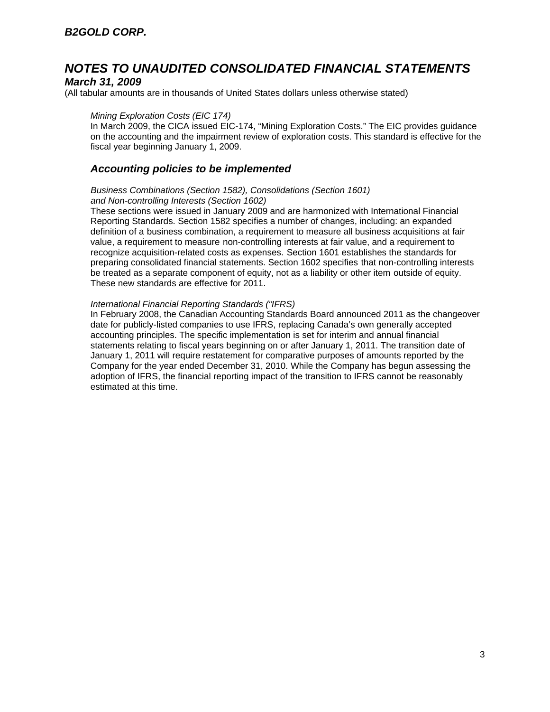#### *March 31, 2009*

(All tabular amounts are in thousands of United States dollars unless otherwise stated)

#### *Mining Exploration Costs (EIC 174)*

In March 2009, the CICA issued EIC-174, "Mining Exploration Costs." The EIC provides guidance on the accounting and the impairment review of exploration costs. This standard is effective for the fiscal year beginning January 1, 2009.

#### *Accounting policies to be implemented*

#### *Business Combinations (Section 1582), Consolidations (Section 1601) and Non-controlling Interests (Section 1602)*

These sections were issued in January 2009 and are harmonized with International Financial Reporting Standards. Section 1582 specifies a number of changes, including: an expanded definition of a business combination, a requirement to measure all business acquisitions at fair value, a requirement to measure non-controlling interests at fair value, and a requirement to recognize acquisition-related costs as expenses. Section 1601 establishes the standards for preparing consolidated financial statements. Section 1602 specifies that non-controlling interests be treated as a separate component of equity, not as a liability or other item outside of equity. These new standards are effective for 2011.

#### *International Financial Reporting Standards ("IFRS)*

In February 2008, the Canadian Accounting Standards Board announced 2011 as the changeover date for publicly-listed companies to use IFRS, replacing Canada's own generally accepted accounting principles. The specific implementation is set for interim and annual financial statements relating to fiscal years beginning on or after January 1, 2011. The transition date of January 1, 2011 will require restatement for comparative purposes of amounts reported by the Company for the year ended December 31, 2010. While the Company has begun assessing the adoption of IFRS, the financial reporting impact of the transition to IFRS cannot be reasonably estimated at this time.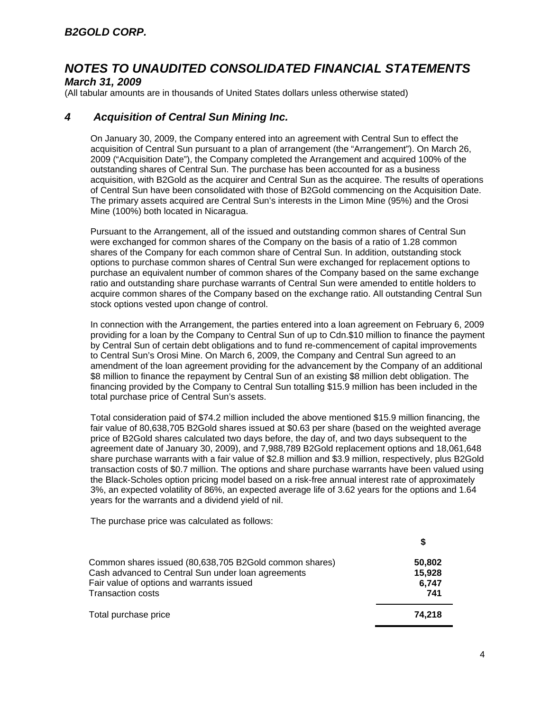### *March 31, 2009*

(All tabular amounts are in thousands of United States dollars unless otherwise stated)

## *4 Acquisition of Central Sun Mining Inc.*

On January 30, 2009, the Company entered into an agreement with Central Sun to effect the acquisition of Central Sun pursuant to a plan of arrangement (the "Arrangement"). On March 26, 2009 ("Acquisition Date"), the Company completed the Arrangement and acquired 100% of the outstanding shares of Central Sun. The purchase has been accounted for as a business acquisition, with B2Gold as the acquirer and Central Sun as the acquiree. The results of operations of Central Sun have been consolidated with those of B2Gold commencing on the Acquisition Date. The primary assets acquired are Central Sun's interests in the Limon Mine (95%) and the Orosi Mine (100%) both located in Nicaragua.

Pursuant to the Arrangement, all of the issued and outstanding common shares of Central Sun were exchanged for common shares of the Company on the basis of a ratio of 1.28 common shares of the Company for each common share of Central Sun. In addition, outstanding stock options to purchase common shares of Central Sun were exchanged for replacement options to purchase an equivalent number of common shares of the Company based on the same exchange ratio and outstanding share purchase warrants of Central Sun were amended to entitle holders to acquire common shares of the Company based on the exchange ratio. All outstanding Central Sun stock options vested upon change of control.

In connection with the Arrangement, the parties entered into a loan agreement on February 6, 2009 providing for a loan by the Company to Central Sun of up to Cdn.\$10 million to finance the payment by Central Sun of certain debt obligations and to fund re-commencement of capital improvements to Central Sun's Orosi Mine. On March 6, 2009, the Company and Central Sun agreed to an amendment of the loan agreement providing for the advancement by the Company of an additional \$8 million to finance the repayment by Central Sun of an existing \$8 million debt obligation. The financing provided by the Company to Central Sun totalling \$15.9 million has been included in the total purchase price of Central Sun's assets.

Total consideration paid of \$74.2 million included the above mentioned \$15.9 million financing, the fair value of 80,638,705 B2Gold shares issued at \$0.63 per share (based on the weighted average price of B2Gold shares calculated two days before, the day of, and two days subsequent to the agreement date of January 30, 2009), and 7,988,789 B2Gold replacement options and 18,061,648 share purchase warrants with a fair value of \$2.8 million and \$3.9 million, respectively, plus B2Gold transaction costs of \$0.7 million. The options and share purchase warrants have been valued using the Black-Scholes option pricing model based on a risk-free annual interest rate of approximately 3%, an expected volatility of 86%, an expected average life of 3.62 years for the options and 1.64 years for the warrants and a dividend yield of nil.

The purchase price was calculated as follows:

| Common shares issued (80,638,705 B2Gold common shares) | 50,802 |
|--------------------------------------------------------|--------|
| Cash advanced to Central Sun under loan agreements     | 15,928 |
| Fair value of options and warrants issued              | 6.747  |
| <b>Transaction costs</b>                               | 741    |
| Total purchase price                                   | 74.218 |

**\$**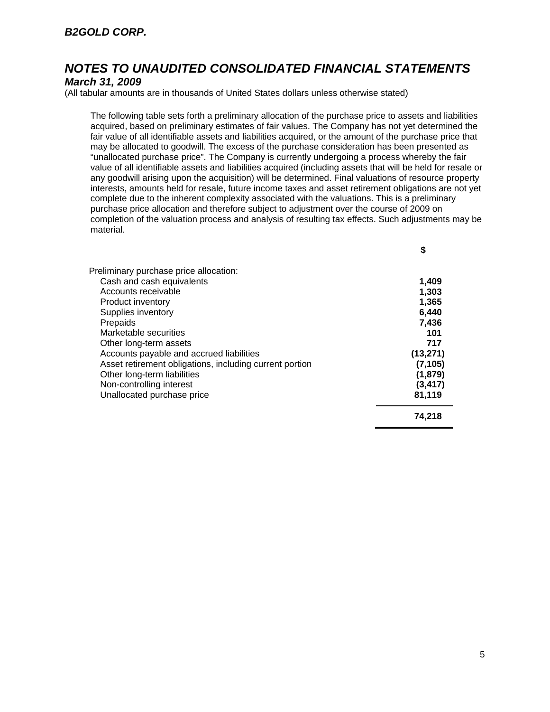## *March 31, 2009*

(All tabular amounts are in thousands of United States dollars unless otherwise stated)

The following table sets forth a preliminary allocation of the purchase price to assets and liabilities acquired, based on preliminary estimates of fair values. The Company has not yet determined the fair value of all identifiable assets and liabilities acquired, or the amount of the purchase price that may be allocated to goodwill. The excess of the purchase consideration has been presented as "unallocated purchase price". The Company is currently undergoing a process whereby the fair value of all identifiable assets and liabilities acquired (including assets that will be held for resale or any goodwill arising upon the acquisition) will be determined. Final valuations of resource property interests, amounts held for resale, future income taxes and asset retirement obligations are not yet complete due to the inherent complexity associated with the valuations. This is a preliminary purchase price allocation and therefore subject to adjustment over the course of 2009 on completion of the valuation process and analysis of resulting tax effects. Such adjustments may be material.

| Preliminary purchase price allocation:                  |           |
|---------------------------------------------------------|-----------|
| Cash and cash equivalents                               | 1,409     |
| Accounts receivable                                     | 1,303     |
| Product inventory                                       | 1,365     |
| Supplies inventory                                      | 6,440     |
| Prepaids                                                | 7,436     |
| Marketable securities                                   | 101       |
| Other long-term assets                                  | 717       |
| Accounts payable and accrued liabilities                | (13, 271) |
| Asset retirement obligations, including current portion | (7, 105)  |
| Other long-term liabilities                             | (1,879)   |
| Non-controlling interest                                | (3, 417)  |
| Unallocated purchase price                              | 81,119    |
|                                                         | 74,218    |

**\$**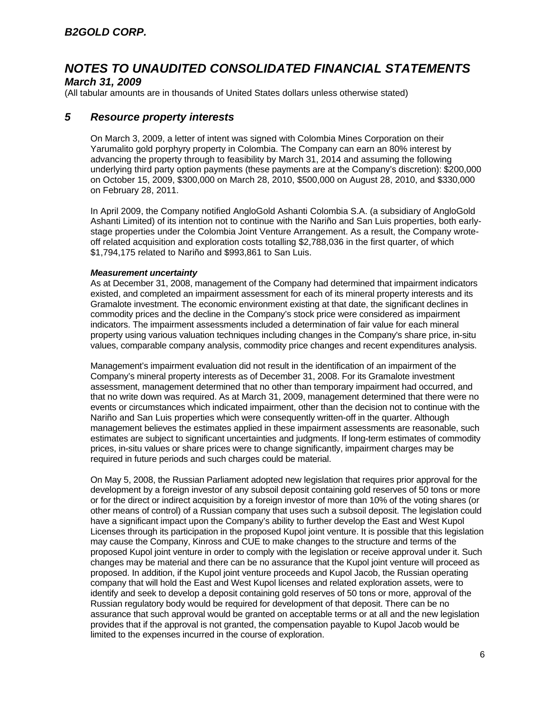#### *March 31, 2009*

(All tabular amounts are in thousands of United States dollars unless otherwise stated)

### *5 Resource property interests*

On March 3, 2009, a letter of intent was signed with Colombia Mines Corporation on their Yarumalito gold porphyry property in Colombia. The Company can earn an 80% interest by advancing the property through to feasibility by March 31, 2014 and assuming the following underlying third party option payments (these payments are at the Company's discretion): \$200,000 on October 15, 2009, \$300,000 on March 28, 2010, \$500,000 on August 28, 2010, and \$330,000 on February 28, 2011.

In April 2009, the Company notified AngloGold Ashanti Colombia S.A. (a subsidiary of AngloGold Ashanti Limited) of its intention not to continue with the Nariño and San Luis properties, both earlystage properties under the Colombia Joint Venture Arrangement. As a result, the Company wroteoff related acquisition and exploration costs totalling \$2,788,036 in the first quarter, of which \$1,794,175 related to Nariño and \$993,861 to San Luis.

#### *Measurement uncertainty*

As at December 31, 2008, management of the Company had determined that impairment indicators existed, and completed an impairment assessment for each of its mineral property interests and its Gramalote investment. The economic environment existing at that date, the significant declines in commodity prices and the decline in the Company's stock price were considered as impairment indicators. The impairment assessments included a determination of fair value for each mineral property using various valuation techniques including changes in the Company's share price, in-situ values, comparable company analysis, commodity price changes and recent expenditures analysis.

Management's impairment evaluation did not result in the identification of an impairment of the Company's mineral property interests as of December 31, 2008. For its Gramalote investment assessment, management determined that no other than temporary impairment had occurred, and that no write down was required. As at March 31, 2009, management determined that there were no events or circumstances which indicated impairment, other than the decision not to continue with the Nariño and San Luis properties which were consequently written-off in the quarter. Although management believes the estimates applied in these impairment assessments are reasonable, such estimates are subject to significant uncertainties and judgments. If long-term estimates of commodity prices, in-situ values or share prices were to change significantly, impairment charges may be required in future periods and such charges could be material.

On May 5, 2008, the Russian Parliament adopted new legislation that requires prior approval for the development by a foreign investor of any subsoil deposit containing gold reserves of 50 tons or more or for the direct or indirect acquisition by a foreign investor of more than 10% of the voting shares (or other means of control) of a Russian company that uses such a subsoil deposit. The legislation could have a significant impact upon the Company's ability to further develop the East and West Kupol Licenses through its participation in the proposed Kupol joint venture. It is possible that this legislation may cause the Company, Kinross and CUE to make changes to the structure and terms of the proposed Kupol joint venture in order to comply with the legislation or receive approval under it. Such changes may be material and there can be no assurance that the Kupol joint venture will proceed as proposed. In addition, if the Kupol joint venture proceeds and Kupol Jacob, the Russian operating company that will hold the East and West Kupol licenses and related exploration assets, were to identify and seek to develop a deposit containing gold reserves of 50 tons or more, approval of the Russian regulatory body would be required for development of that deposit. There can be no assurance that such approval would be granted on acceptable terms or at all and the new legislation provides that if the approval is not granted, the compensation payable to Kupol Jacob would be limited to the expenses incurred in the course of exploration.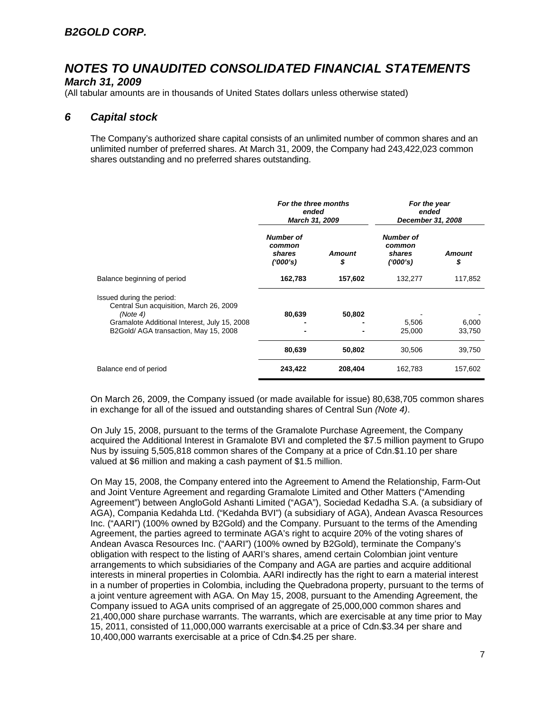#### *March 31, 2009*

(All tabular amounts are in thousands of United States dollars unless otherwise stated)

## *6 Capital stock*

The Company's authorized share capital consists of an unlimited number of common shares and an unlimited number of preferred shares. At March 31, 2009, the Company had 243,422,023 common shares outstanding and no preferred shares outstanding.

|                                                                                                                                                                           | For the three months<br>For the year<br>ended<br>ended<br>March 31, 2009<br>December 31, 2008 |                     |                                                  |                 |
|---------------------------------------------------------------------------------------------------------------------------------------------------------------------------|-----------------------------------------------------------------------------------------------|---------------------|--------------------------------------------------|-----------------|
|                                                                                                                                                                           | <b>Number of</b><br>common<br>shares<br>(1000's)                                              | <b>Amount</b><br>\$ | <b>Number of</b><br>common<br>shares<br>(1000's) | Amount<br>\$    |
| Balance beginning of period                                                                                                                                               | 162,783                                                                                       | 157,602             | 132,277                                          | 117,852         |
| Issued during the period:<br>Central Sun acquisition, March 26, 2009<br>(Note 4)<br>Gramalote Additional Interest, July 15, 2008<br>B2Gold/ AGA transaction, May 15, 2008 | 80,639                                                                                        | 50,802              | 5,506<br>25,000                                  | 6,000<br>33,750 |
|                                                                                                                                                                           | 80,639                                                                                        | 50,802              | 30,506                                           | 39,750          |
| Balance end of period                                                                                                                                                     | 243,422                                                                                       | 208,404             | 162,783                                          | 157,602         |

On March 26, 2009, the Company issued (or made available for issue) 80,638,705 common shares in exchange for all of the issued and outstanding shares of Central Sun *(Note 4)*.

On July 15, 2008, pursuant to the terms of the Gramalote Purchase Agreement, the Company acquired the Additional Interest in Gramalote BVI and completed the \$7.5 million payment to Grupo Nus by issuing 5,505,818 common shares of the Company at a price of Cdn.\$1.10 per share valued at \$6 million and making a cash payment of \$1.5 million.

On May 15, 2008, the Company entered into the Agreement to Amend the Relationship, Farm-Out and Joint Venture Agreement and regarding Gramalote Limited and Other Matters ("Amending Agreement") between AngloGold Ashanti Limited ("AGA"), Sociedad Kedadha S.A. (a subsidiary of AGA), Compania Kedahda Ltd. ("Kedahda BVI") (a subsidiary of AGA), Andean Avasca Resources Inc. ("AARI") (100% owned by B2Gold) and the Company. Pursuant to the terms of the Amending Agreement, the parties agreed to terminate AGA's right to acquire 20% of the voting shares of Andean Avasca Resources Inc. ("AARI") (100% owned by B2Gold), terminate the Company's obligation with respect to the listing of AARI's shares, amend certain Colombian joint venture arrangements to which subsidiaries of the Company and AGA are parties and acquire additional interests in mineral properties in Colombia. AARI indirectly has the right to earn a material interest in a number of properties in Colombia, including the Quebradona property, pursuant to the terms of a joint venture agreement with AGA. On May 15, 2008, pursuant to the Amending Agreement, the Company issued to AGA units comprised of an aggregate of 25,000,000 common shares and 21,400,000 share purchase warrants. The warrants, which are exercisable at any time prior to May 15, 2011, consisted of 11,000,000 warrants exercisable at a price of Cdn.\$3.34 per share and 10,400,000 warrants exercisable at a price of Cdn.\$4.25 per share.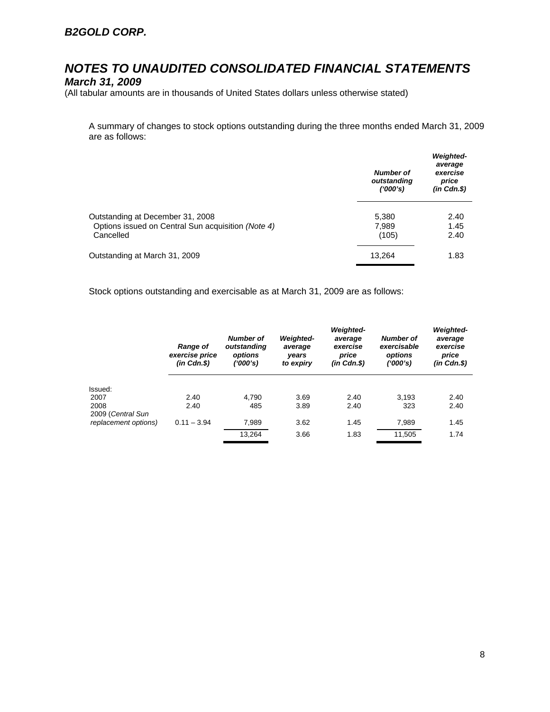## *March 31, 2009*

(All tabular amounts are in thousands of United States dollars unless otherwise stated)

A summary of changes to stock options outstanding during the three months ended March 31, 2009 are as follows:

|                                                                                                     | <b>Number of</b><br>outstanding<br>(1000's) | <b>Weighted-</b><br>average<br>exercise<br>price<br>$(in$ $Cdn.\$ |
|-----------------------------------------------------------------------------------------------------|---------------------------------------------|-------------------------------------------------------------------|
| Outstanding at December 31, 2008<br>Options issued on Central Sun acquisition (Note 4)<br>Cancelled | 5,380<br>7,989<br>(105)                     | 2.40<br>1.45<br>2.40                                              |
| Outstanding at March 31, 2009                                                                       | 13.264                                      | 1.83                                                              |

Stock options outstanding and exercisable as at March 31, 2009 are as follows:

|                      | Range of<br>exercise price<br>$(in$ $Cdn.S)$ | Number of<br>outstanding<br>options<br>('000's) | <b>Weighted-</b><br>average<br>years<br>to expiry | <b>Weighted-</b><br>average<br>exercise<br>price<br>$(in$ $Cdn.S)$ | Number of<br>exercisable<br>options<br>('000's) | <b>Weighted-</b><br>average<br>exercise<br>price<br>$(in$ $Cdn.S)$ |
|----------------------|----------------------------------------------|-------------------------------------------------|---------------------------------------------------|--------------------------------------------------------------------|-------------------------------------------------|--------------------------------------------------------------------|
|                      |                                              |                                                 |                                                   |                                                                    |                                                 |                                                                    |
| Issued:<br>2007      | 2.40                                         | 4.790                                           | 3.69                                              | 2.40                                                               | 3.193                                           | 2.40                                                               |
| 2008                 | 2.40                                         | 485                                             | 3.89                                              | 2.40                                                               | 323                                             | 2.40                                                               |
| 2009 (Central Sun    |                                              |                                                 |                                                   |                                                                    |                                                 |                                                                    |
| replacement options) | $0.11 - 3.94$                                | 7,989                                           | 3.62                                              | 1.45                                                               | 7,989                                           | 1.45                                                               |
|                      |                                              | 13,264                                          | 3.66                                              | 1.83                                                               | 11,505                                          | 1.74                                                               |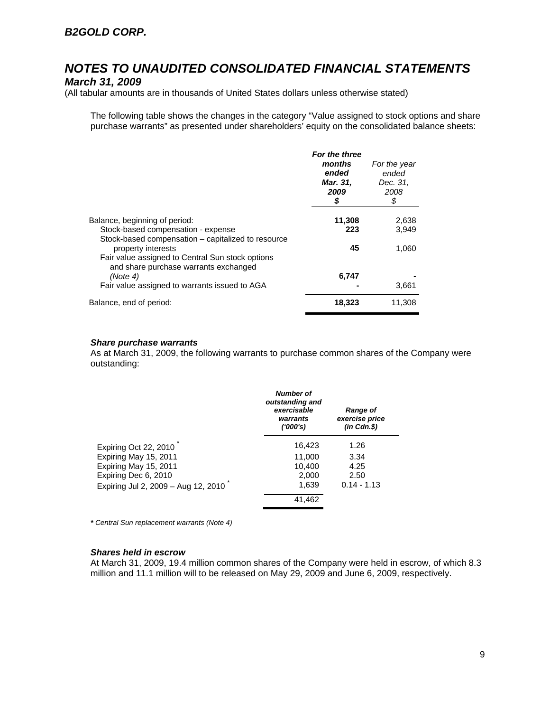### *March 31, 2009*

(All tabular amounts are in thousands of United States dollars unless otherwise stated)

The following table shows the changes in the category "Value assigned to stock options and share purchase warrants" as presented under shareholders' equity on the consolidated balance sheets:

|                                                                                                                 | For the three<br>months<br>ended<br>Mar. 31,<br>2009<br>\$ | For the year<br>ended<br>Dec. 31,<br>2008<br>\$ |
|-----------------------------------------------------------------------------------------------------------------|------------------------------------------------------------|-------------------------------------------------|
| Balance, beginning of period:                                                                                   | 11,308                                                     | 2,638                                           |
| Stock-based compensation - expense<br>Stock-based compensation – capitalized to resource                        | 223                                                        | 3,949                                           |
| property interests<br>Fair value assigned to Central Sun stock options<br>and share purchase warrants exchanged | 45                                                         | 1,060                                           |
| (Note 4)                                                                                                        | 6,747                                                      |                                                 |
| Fair value assigned to warrants issued to AGA                                                                   |                                                            | 3,661                                           |
| Balance, end of period:                                                                                         | 18,323                                                     | 11.308                                          |

#### *Share purchase warrants*

As at March 31, 2009, the following warrants to purchase common shares of the Company were outstanding:

|                                     | Number of<br>outstanding and<br>exercisable<br>warrants<br>(1000's) | <b>Range of</b><br>exercise price<br>$(in$ $Cdn.S)$ |
|-------------------------------------|---------------------------------------------------------------------|-----------------------------------------------------|
| Expiring Oct 22, 2010               | 16,423                                                              | 1.26                                                |
| Expiring May 15, 2011               | 11,000                                                              | 3.34                                                |
| Expiring May 15, 2011               | 10.400                                                              | 4.25                                                |
| Expiring Dec 6, 2010                | 2,000                                                               | 2.50                                                |
| Expiring Jul 2, 2009 - Aug 12, 2010 | 1.639                                                               | $0.14 - 1.13$                                       |
|                                     | 41,462                                                              |                                                     |

*\* Central Sun replacement warrants (Note 4)* 

#### *Shares held in escrow*

At March 31, 2009, 19.4 million common shares of the Company were held in escrow, of which 8.3 million and 11.1 million will to be released on May 29, 2009 and June 6, 2009, respectively.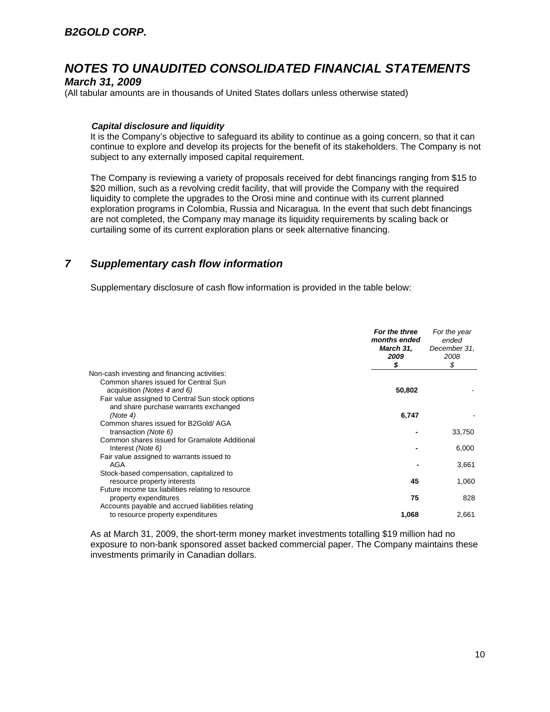### *March 31, 2009*

(All tabular amounts are in thousands of United States dollars unless otherwise stated)

#### *Capital disclosure and liquidity*

It is the Company's objective to safeguard its ability to continue as a going concern, so that it can continue to explore and develop its projects for the benefit of its stakeholders. The Company is not subject to any externally imposed capital requirement.

The Company is reviewing a variety of proposals received for debt financings ranging from \$15 to \$20 million, such as a revolving credit facility, that will provide the Company with the required liquidity to complete the upgrades to the Orosi mine and continue with its current planned exploration programs in Colombia, Russia and Nicaragua. In the event that such debt financings are not completed, the Company may manage its liquidity requirements by scaling back or curtailing some of its current exploration plans or seek alternative financing.

### *7 Supplementary cash flow information*

Supplementary disclosure of cash flow information is provided in the table below:

|                                                                                                       | For the three<br>months ended<br><b>March 31,</b><br>2009<br>\$ | For the year<br>ended<br>December 31,<br>2008<br>\$ |
|-------------------------------------------------------------------------------------------------------|-----------------------------------------------------------------|-----------------------------------------------------|
| Non-cash investing and financing activities:                                                          |                                                                 |                                                     |
| Common shares issued for Central Sun                                                                  |                                                                 |                                                     |
| acquisition (Notes 4 and 6)                                                                           | 50,802                                                          |                                                     |
| Fair value assigned to Central Sun stock options<br>and share purchase warrants exchanged<br>(Note 4) | 6,747                                                           |                                                     |
| Common shares issued for B2Gold/AGA<br>transaction (Note 6)                                           |                                                                 | 33,750                                              |
| Common shares issued for Gramalote Additional<br>Interest (Note 6)                                    |                                                                 | 6,000                                               |
| Fair value assigned to warrants issued to<br>AGA                                                      |                                                                 | 3,661                                               |
| Stock-based compensation, capitalized to<br>resource property interests                               | 45                                                              | 1,060                                               |
| Future income tax liabilities relating to resource<br>property expenditures                           | 75                                                              | 828                                                 |
| Accounts payable and accrued liabilities relating                                                     |                                                                 |                                                     |
| to resource property expenditures                                                                     | 1,068                                                           | 2,661                                               |

As at March 31, 2009, the short-term money market investments totalling \$19 million had no exposure to non-bank sponsored asset backed commercial paper. The Company maintains these investments primarily in Canadian dollars.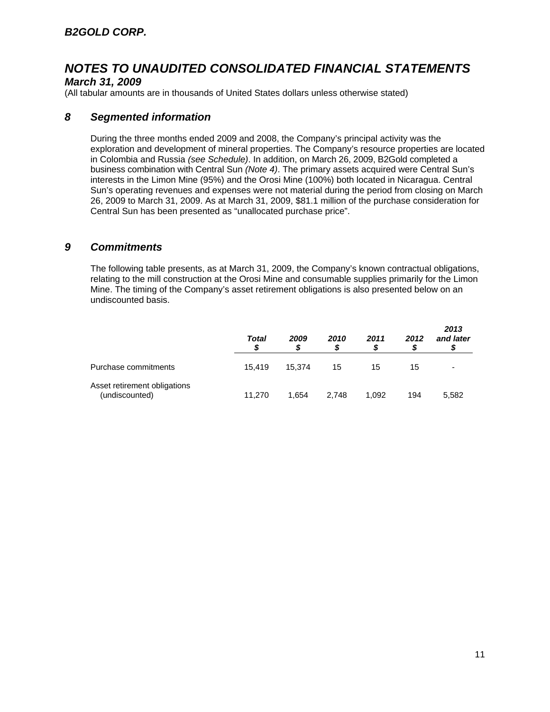## *March 31, 2009*

(All tabular amounts are in thousands of United States dollars unless otherwise stated)

## *8 Segmented information*

During the three months ended 2009 and 2008, the Company's principal activity was the exploration and development of mineral properties. The Company's resource properties are located in Colombia and Russia *(see Schedule)*. In addition, on March 26, 2009, B2Gold completed a business combination with Central Sun *(Note 4)*. The primary assets acquired were Central Sun's interests in the Limon Mine (95%) and the Orosi Mine (100%) both located in Nicaragua. Central Sun's operating revenues and expenses were not material during the period from closing on March 26, 2009 to March 31, 2009. As at March 31, 2009, \$81.1 million of the purchase consideration for Central Sun has been presented as "unallocated purchase price".

## *9 Commitments*

The following table presents, as at March 31, 2009, the Company's known contractual obligations, relating to the mill construction at the Orosi Mine and consumable supplies primarily for the Limon Mine. The timing of the Company's asset retirement obligations is also presented below on an undiscounted basis.

|                                                | Total<br>S | 2009<br>S | 2010  | 2011  | 2012 | 2013<br>and later |
|------------------------------------------------|------------|-----------|-------|-------|------|-------------------|
| Purchase commitments                           | 15.419     | 15.374    | 15    | 15    | 15   |                   |
| Asset retirement obligations<br>(undiscounted) | 11.270     | 1.654     | 2.748 | 1,092 | 194  | 5,582             |